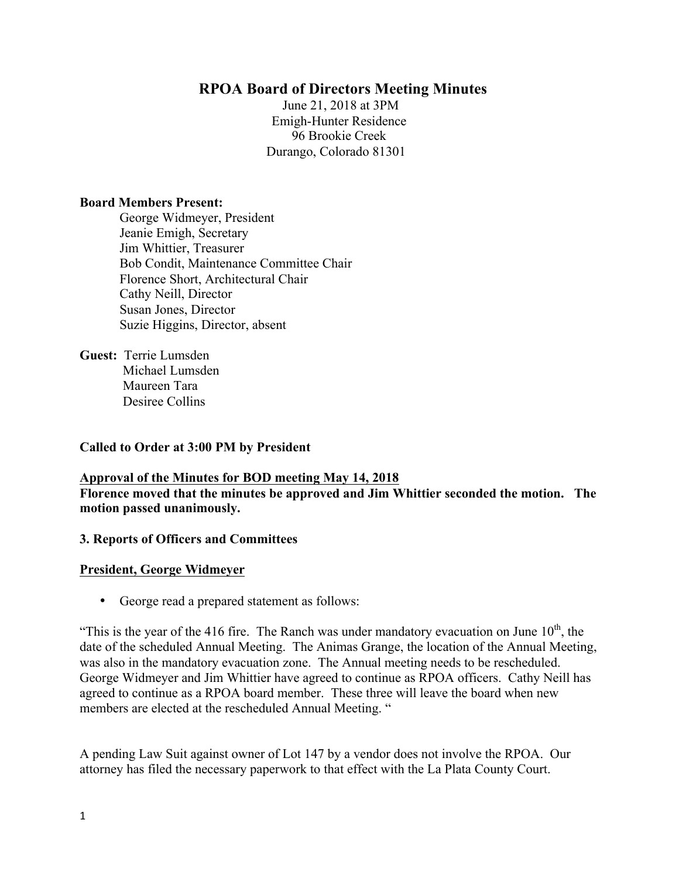# **RPOA Board of Directors Meeting Minutes**

June 21, 2018 at 3PM Emigh-Hunter Residence 96 Brookie Creek Durango, Colorado 81301

#### **Board Members Present:**

George Widmeyer, President Jeanie Emigh, Secretary Jim Whittier, Treasurer Bob Condit, Maintenance Committee Chair Florence Short, Architectural Chair Cathy Neill, Director Susan Jones, Director Suzie Higgins, Director, absent

**Guest:** Terrie Lumsden Michael Lumsden Maureen Tara Desiree Collins

#### **Called to Order at 3:00 PM by President**

**Approval of the Minutes for BOD meeting May 14, 2018 Florence moved that the minutes be approved and Jim Whittier seconded the motion. The motion passed unanimously.** 

#### **3. Reports of Officers and Committees**

#### **President, George Widmeyer**

• George read a prepared statement as follows:

"This is the year of the 416 fire. The Ranch was under mandatory evacuation on June  $10<sup>th</sup>$ , the date of the scheduled Annual Meeting. The Animas Grange, the location of the Annual Meeting, was also in the mandatory evacuation zone. The Annual meeting needs to be rescheduled. George Widmeyer and Jim Whittier have agreed to continue as RPOA officers. Cathy Neill has agreed to continue as a RPOA board member. These three will leave the board when new members are elected at the rescheduled Annual Meeting. "

A pending Law Suit against owner of Lot 147 by a vendor does not involve the RPOA. Our attorney has filed the necessary paperwork to that effect with the La Plata County Court.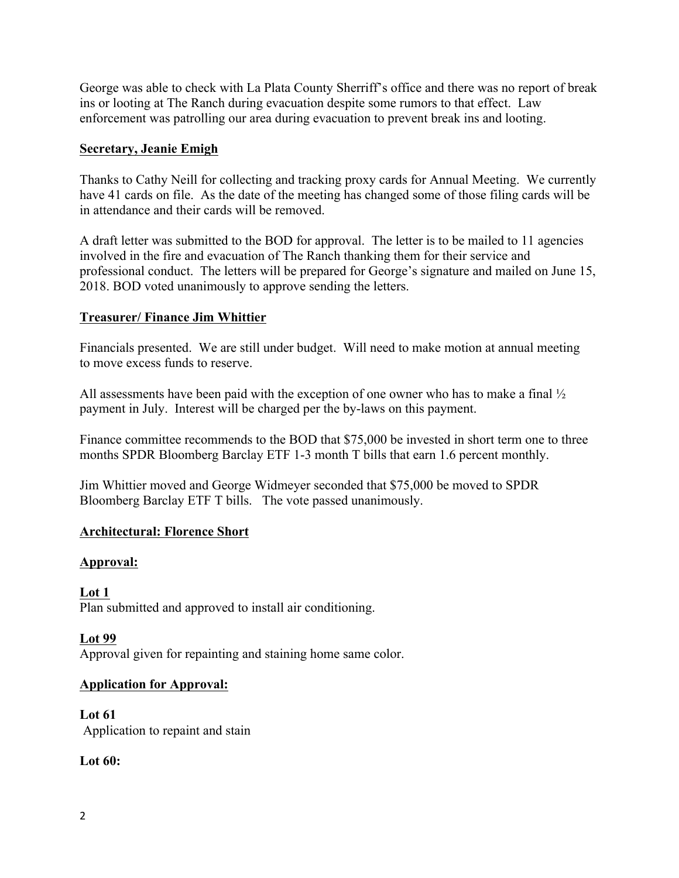George was able to check with La Plata County Sherriff's office and there was no report of break ins or looting at The Ranch during evacuation despite some rumors to that effect. Law enforcement was patrolling our area during evacuation to prevent break ins and looting.

#### **Secretary, Jeanie Emigh**

Thanks to Cathy Neill for collecting and tracking proxy cards for Annual Meeting. We currently have 41 cards on file. As the date of the meeting has changed some of those filing cards will be in attendance and their cards will be removed.

A draft letter was submitted to the BOD for approval. The letter is to be mailed to 11 agencies involved in the fire and evacuation of The Ranch thanking them for their service and professional conduct. The letters will be prepared for George's signature and mailed on June 15, 2018. BOD voted unanimously to approve sending the letters.

#### **Treasurer/ Finance Jim Whittier**

Financials presented. We are still under budget. Will need to make motion at annual meeting to move excess funds to reserve.

All assessments have been paid with the exception of one owner who has to make a final ½ payment in July. Interest will be charged per the by-laws on this payment.

Finance committee recommends to the BOD that \$75,000 be invested in short term one to three months SPDR Bloomberg Barclay ETF 1-3 month T bills that earn 1.6 percent monthly.

Jim Whittier moved and George Widmeyer seconded that \$75,000 be moved to SPDR Bloomberg Barclay ETF T bills. The vote passed unanimously.

## **Architectural: Florence Short**

#### **Approval:**

**Lot 1** Plan submitted and approved to install air conditioning.

**Lot 99** Approval given for repainting and staining home same color.

## **Application for Approval:**

**Lot 61** Application to repaint and stain

## **Lot 60:**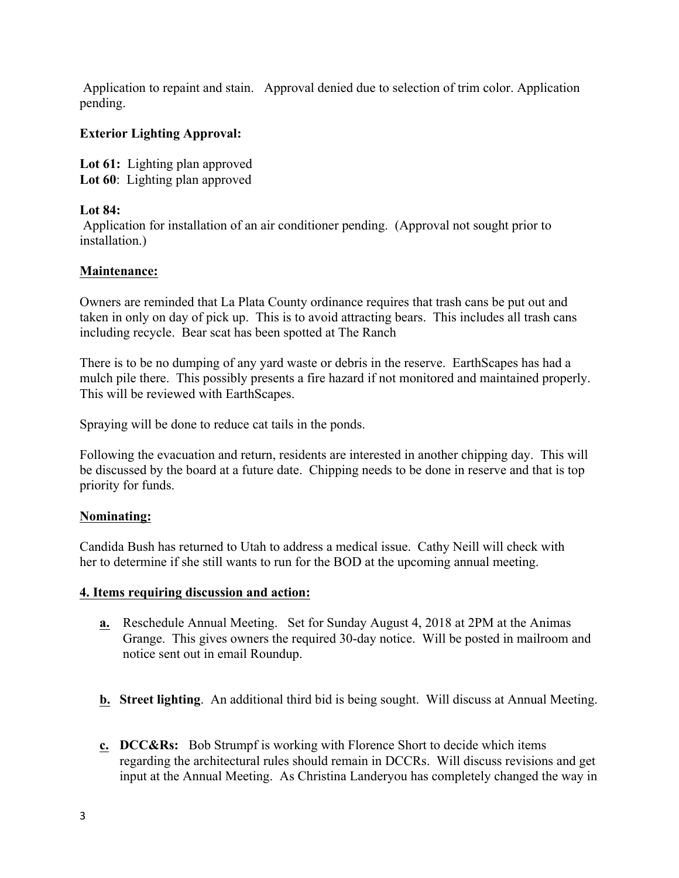Application to repaint and stain. Approval denied due to selection of trim color. Application pending.

# **Exterior Lighting Approval:**

**Lot 61:** Lighting plan approved Lot 60: Lighting plan approved

## **Lot 84:**

Application for installation of an air conditioner pending. (Approval not sought prior to installation.)

## **Maintenance:**

Owners are reminded that La Plata County ordinance requires that trash cans be put out and taken in only on day of pick up. This is to avoid attracting bears. This includes all trash cans including recycle. Bear scat has been spotted at The Ranch

There is to be no dumping of any yard waste or debris in the reserve. EarthScapes has had a mulch pile there. This possibly presents a fire hazard if not monitored and maintained properly. This will be reviewed with EarthScapes.

Spraying will be done to reduce cat tails in the ponds.

Following the evacuation and return, residents are interested in another chipping day. This will be discussed by the board at a future date. Chipping needs to be done in reserve and that is top priority for funds.

## **Nominating:**

Candida Bush has returned to Utah to address a medical issue. Cathy Neill will check with her to determine if she still wants to run for the BOD at the upcoming annual meeting.

## **4. Items requiring discussion and action:**

- **a.** Reschedule Annual Meeting. Set for Sunday August 4, 2018 at 2PM at the Animas Grange. This gives owners the required 30-day notice. Will be posted in mailroom and notice sent out in email Roundup.
- **b. Street lighting**. An additional third bid is being sought. Will discuss at Annual Meeting.
- **c. DCC&Rs:** Bob Strumpf is working with Florence Short to decide which items regarding the architectural rules should remain in DCCRs. Will discuss revisions and get input at the Annual Meeting. As Christina Landeryou has completely changed the way in